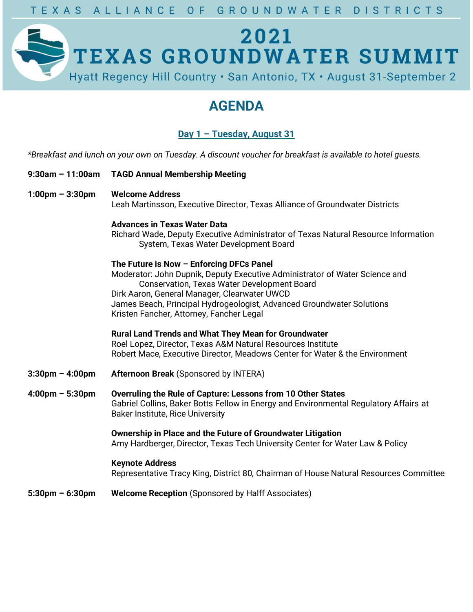

## **AGENDA**

## **Day 1 – Tuesday, August 31**

*\*Breakfast and lunch on your own on Tuesday. A discount voucher for breakfast is available to hotel guests.*

- **9:30am – 11:00am TAGD Annual Membership Meeting**
- **1:00pm – 3:30pm Welcome Address**  Leah Martinsson, Executive Director, Texas Alliance of Groundwater Districts

### **Advances in Texas Water Data**

Richard Wade, Deputy Executive Administrator of Texas Natural Resource Information System, Texas Water Development Board

## **The Future is Now – Enforcing DFCs Panel** Moderator: John Dupnik, Deputy Executive Administrator of Water Science and Conservation, Texas Water Development Board Dirk Aaron, General Manager, Clearwater UWCD

James Beach, Principal Hydrogeologist, Advanced Groundwater Solutions Kristen Fancher, Attorney, Fancher Legal

**Rural Land Trends and What They Mean for Groundwater** Roel Lopez, Director, Texas A&M Natural Resources Institute Robert Mace, Executive Director, Meadows Center for Water & the Environment

- **3:30pm – 4:00pm Afternoon Break** (Sponsored by INTERA)
- **4:00pm – 5:30pm Overruling the Rule of Capture: Lessons from 10 Other States** Gabriel Collins, Baker Botts Fellow in Energy and Environmental Regulatory Affairs at Baker Institute, Rice University

**Ownership in Place and the Future of Groundwater Litigation** Amy Hardberger, Director, Texas Tech University Center for Water Law & Policy

## **Keynote Address**

Representative Tracy King, District 80, Chairman of House Natural Resources Committee

**5:30pm – 6:30pm Welcome Reception** (Sponsored by Halff Associates)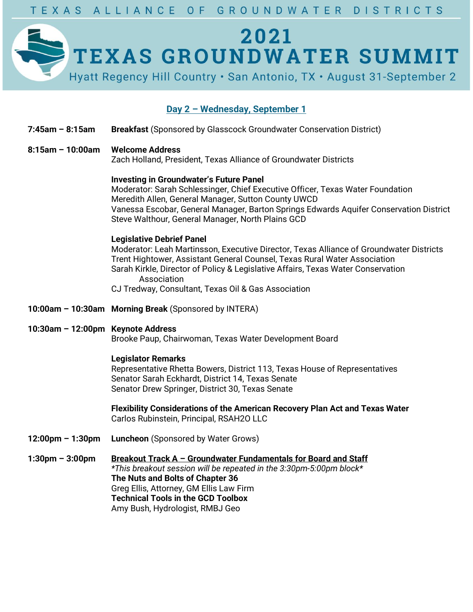# 2021 TEXAS GROUNDWATER SUMMIT Hyatt Regency Hill Country . San Antonio, TX . August 31-September 2

## **Day 2 – Wednesday, September 1**

- **7:45am – 8:15am Breakfast** (Sponsored by Glasscock Groundwater Conservation District)
- **8:15am – 10:00am Welcome Address**

Zach Holland, President, Texas Alliance of Groundwater Districts

#### **Investing in Groundwater's Future Panel**

Moderator: Sarah Schlessinger, Chief Executive Officer, Texas Water Foundation Meredith Allen, General Manager, Sutton County UWCD Vanessa Escobar, General Manager, Barton Springs Edwards Aquifer Conservation District Steve Walthour, General Manager, North Plains GCD

### **Legislative Debrief Panel**

Moderator: Leah Martinsson, Executive Director, Texas Alliance of Groundwater Districts Trent Hightower, Assistant General Counsel, Texas Rural Water Association Sarah Kirkle, Director of Policy & Legislative Affairs, Texas Water Conservation Association CJ Tredway, Consultant, Texas Oil & Gas Association

- **10:00am – 10:30am Morning Break** (Sponsored by INTERA)
- **10:30am – 12:00pm Keynote Address** Brooke Paup, Chairwoman, Texas Water Development Board

#### **Legislator Remarks**

Representative Rhetta Bowers, District 113, Texas House of Representatives Senator Sarah Eckhardt, District 14, Texas Senate Senator Drew Springer, District 30, Texas Senate

**Flexibility Considerations of the American Recovery Plan Act and Texas Water** Carlos Rubinstein, Principal, RSAH2O LLC

**12:00pm – 1:30pm Luncheon** (Sponsored by Water Grows)

**1:30pm – 3:00pm Breakout Track A – Groundwater Fundamentals for Board and Staff** *\*This breakout session will be repeated in the 3:30pm-5:00pm block\** **The Nuts and Bolts of Chapter 36** Greg Ellis, Attorney, GM Ellis Law Firm **Technical Tools in the GCD Toolbox** Amy Bush, Hydrologist, RMBJ Geo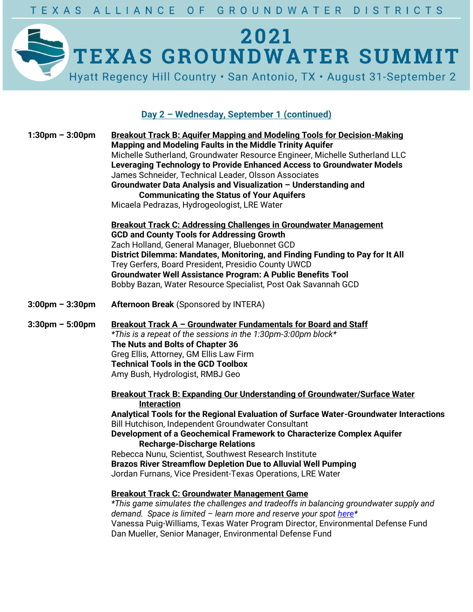

## **Day 2 – Wednesday, September 1 (continued)**

| <b>Breakout Track B: Aguifer Mapping and Modeling Tools for Decision-Making</b><br>Mapping and Modeling Faults in the Middle Trinity Aquifer<br>Michelle Sutherland, Groundwater Resource Engineer, Michelle Sutherland LLC<br>Leveraging Technology to Provide Enhanced Access to Groundwater Models<br>James Schneider, Technical Leader, Olsson Associates<br>Groundwater Data Analysis and Visualization - Understanding and<br><b>Communicating the Status of Your Aquifers</b><br>Micaela Pedrazas, Hydrogeologist, LRE Water                                                                                                                                                                                                                                                                                                                                                                                            |
|--------------------------------------------------------------------------------------------------------------------------------------------------------------------------------------------------------------------------------------------------------------------------------------------------------------------------------------------------------------------------------------------------------------------------------------------------------------------------------------------------------------------------------------------------------------------------------------------------------------------------------------------------------------------------------------------------------------------------------------------------------------------------------------------------------------------------------------------------------------------------------------------------------------------------------|
| <b>Breakout Track C: Addressing Challenges in Groundwater Management</b><br><b>GCD and County Tools for Addressing Growth</b><br>Zach Holland, General Manager, Bluebonnet GCD<br>District Dilemma: Mandates, Monitoring, and Finding Funding to Pay for It All<br>Trey Gerfers, Board President, Presidio County UWCD<br><b>Groundwater Well Assistance Program: A Public Benefits Tool</b><br>Bobby Bazan, Water Resource Specialist, Post Oak Savannah GCD                                                                                                                                                                                                                                                                                                                                                                                                                                                                  |
| <b>Afternoon Break (Sponsored by INTERA)</b>                                                                                                                                                                                                                                                                                                                                                                                                                                                                                                                                                                                                                                                                                                                                                                                                                                                                                   |
| Breakout Track A - Groundwater Fundamentals for Board and Staff<br>*This is a repeat of the sessions in the 1:30pm-3:00pm block*<br>The Nuts and Bolts of Chapter 36<br>Greg Ellis, Attorney, GM Ellis Law Firm<br><b>Technical Tools in the GCD Toolbox</b><br>Amy Bush, Hydrologist, RMBJ Geo                                                                                                                                                                                                                                                                                                                                                                                                                                                                                                                                                                                                                                |
| Breakout Track B: Expanding Our Understanding of Groundwater/Surface Water<br><b>Interaction</b><br>Analytical Tools for the Regional Evaluation of Surface Water-Groundwater Interactions<br>Bill Hutchison, Independent Groundwater Consultant<br>Development of a Geochemical Framework to Characterize Complex Aquifer<br><b>Recharge-Discharge Relations</b><br>Rebecca Nunu, Scientist, Southwest Research Institute<br><b>Brazos River Streamflow Depletion Due to Alluvial Well Pumping</b><br>Jordan Furnans, Vice President-Texas Operations, LRE Water<br>Breakout Track C: Groundwater Management Game<br>*This game simulates the challenges and tradeoffs in balancing groundwater supply and<br>demand. Space is limited - learn more and reserve your spot here*<br>Vanessa Puig-Williams, Texas Water Program Director, Environmental Defense Fund<br>Dan Mueller, Senior Manager, Environmental Defense Fund |
|                                                                                                                                                                                                                                                                                                                                                                                                                                                                                                                                                                                                                                                                                                                                                                                                                                                                                                                                |